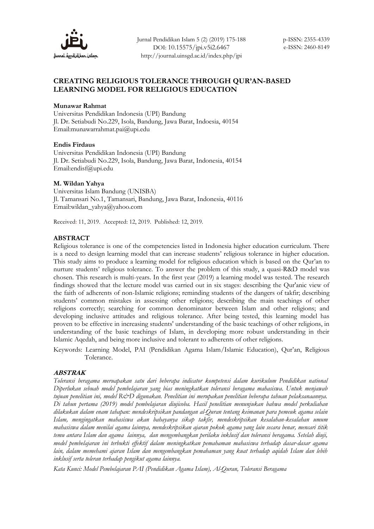

Jurnal Pendidikan Islam 5 (2) (2019) 175-188 DOI: 10.15575/jpi.v5i2.6467 http://journal.uinsgd.ac.id/index.php/jpi

# **CREATING RELIGIOUS TOLERANCE THROUGH QUR'AN-BASED LEARNING MODEL FOR RELIGIOUS EDUCATION**

#### **Munawar Rahmat**

Universitas Pendidikan Indonesia (UPI) Bandung Jl. Dr. Setiabudi No.229, Isola, Bandung, Jawa Barat, Indoesia, 40154 Email:munawarrahmat.pai@upi.edu

### **Endis Firdaus**

Universitas Pendidikan Indonesia (UPI) Bandung Jl. Dr. Setiabudi No.229, Isola, Bandung, Jawa Barat, Indonesia, 40154 Emai[l:endisf@upi.edu](mailto:endisf@upi.edu)

### **M. Wildan Yahya**

Universitas Islam Bandung (UNISBA) Jl. Tamansari No.1, Tamansari, Bandung, Jawa Barat, Indonesia, 40116 Email:wildan\_yahya@yahoo.com

Received: 11, 2019. Accepted: 12, 2019. Published: 12, 2019.

### **ABSTRACT**

Religious tolerance is one of the competencies listed in Indonesia higher education curriculum. There is a need to design learning model that can increase students' religious tolerance in higher education. This study aims to produce a learning model for religious education which is based on the Qur'an to nurture students' religious tolerance. To answer the problem of this study, a quasi-R&D model was chosen. This research is multi-years. In the first year (2019) a learning model was tested. The research findings showed that the lecture model was carried out in six stages: describing the Qur'anic view of the faith of adherents of non-Islamic religions; reminding students of the dangers of takfir; describing students' common mistakes in assessing other religions; describing the main teachings of other religions correctly; searching for common denominator between Islam and other religions; and developing inclusive attitudes and religious tolerance. After being tested, this learning model has proven to be effective in increasing students' understanding of the basic teachings of other religions, in understanding of the basic teachings of Islam, in developing more robust understanding in their Islamic Aqedah, and being more inclusive and tolerant to adherents of other religions.

Keywords: Learning Model, PAI (Pendidikan Agama Islam/Islamic Education), Qur'an, Religious Tolerance.

#### **ABSTRAK**

*Toleransi beragama meruapakan satu dari beberapa indicator kompetensi dalam kurikulum Pendidikan national Diperlukan sebuah model pembelajaran yang bias meningkatkan toleransi beragama mahasiswa. Untuk menjawab tujuan penelitian ini, model R&D digunakan. Penelitian ini merupakan penelitian beberapa tahuan pelaksanaannya. Di tahun pertama (2019) model pembelajaran diujicoba. Hasil penelitian menunjukan bahwa model perkuliahan dilakukan dalam enam tahapan: mendeskripsikan pandangan al-Quran tentang keimanan para pemeuk agama selain Islam, mengingatkan mahasiswa akan bahayanya sikap takfir, mendeskripsikan kesalahan-kesalahan umum mahasiswa dalam menilai agama lainnya, mendeskripsikan ajaran pokok agama yang lain secara benar, mencari titik temu antara Islam dan agama lainnya, dan mengembangkan perilaku inklusif dan toleransi beragama. Setelah diuji, model pembelajaran ini terbukti effektif dalam meningkatkan pemahaman mahasiswa terhadap dasar-dasar agama lain, dalam memehami ajaran Islam dan mengembangkan pemahaman yang kuat terhadap aqidah Islam dan lebih inklusif serta toleran terhadap pengikut agama lainnya.*

*Kata Kunci: Model Pembelajaran PAI (Pendidikan Agama Islam), Al-Quran, Toleransi Beragama*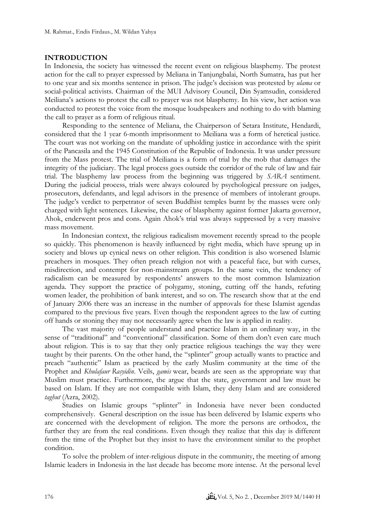### **INTRODUCTION**

In Indonesia, the society has witnessed the recent event on religious blasphemy. The protest action for the call to prayer expressed by Meliana in Tanjungbalai, North Sumatra, has put her to one year and six months sentence in prison. The judge's decision was protested by *ulama* or social-political activists. Chairman of the MUI Advisory Council, Din Syamsudin, considered Meiliana's actions to protest the call to prayer was not blasphemy. In his view, her action was conducted to protest the voice from the mosque loudspeakers and nothing to do with blaming the call to prayer as a form of religious ritual.

Responding to the sentence of Meliana, the Chairperson of Setara Institute, Hendardi, considered that the 1 year 6-month imprisonment to Meiliana was a form of heretical justice. The court was not working on the mandate of upholding justice in accordance with the spirit of the Pancasila and the 1945 Constitution of the Republic of Indonesia. It was under pressure from the Mass protest. The trial of Meiliana is a form of trial by the mob that damages the integrity of the judiciary. The legal process goes outside the corridor of the rule of law and fair trial. The blasphemy law process from the beginning was triggered by *SARA* sentiment. During the judicial process, trials were always coloured by psychological pressure on judges, prosecutors, defendants, and legal advisors in the presence of members of intolerant groups. The judge's verdict to perpetrator of seven Buddhist temples burnt by the masses were only charged with light sentences. Likewise, the case of blasphemy against former Jakarta governor, Ahok, enderwent pros and cons. Again Ahok's trial was always suppressed by a very massive mass movement.

In Indonesian context, the religious radicalism movement recently spread to the people so quickly. This phenomenon is heavily influenced by right media, which have sprung up in society and blows up cynical news on other religion. This condition is also worsened Islamic preachers in mosques. They often preach religion not with a peaceful face, but with curses, misdirection, and contempt for non-mainstream groups. In the same vein, the tendency of radicalism can be measured by respondents' answers to the most common Islamization agenda. They support the practice of polygamy, stoning, cutting off the hands, refuting women leader, the prohibition of bank interest, and so on. The research show that at the end of January 2006 there was an increase in the number of approvals for these Islamist agendas compared to the previous five years. Even though the respondent agrees to the law of cutting off hands or stoning they may not necessarily agree when the law is applied in reality.

The vast majority of people understand and practice Islam in an ordinary way, in the sense of "traditional" and "conventional" classification. Some of them don't even care much about religion. This is to say that they only practice religious teachings the way they were taught by their parents. On the other hand, the "splinter" group actually wants to practice and preach "authentic" Islam as practiced by the early Muslim community at the time of the Prophet and *Khulafaur Rasyidin*. Veils, *gamis* wear, beards are seen as the appropriate way that Muslim must practice. Furthermore, the argue that the state, government and law must be based on Islam. If they are not compatible with Islam, they deny Islam and are considered *taghut* (Azra, 2002).

Studies on Islamic groups "splinter" in Indonesia have never been conducted comprehensively. General description on the issue has been delivered by Islamic experts who are concerned with the development of religion. The more the persons are orthodox, the further they are from the real conditions. Even though they realize that this day is different from the time of the Prophet but they insist to have the environment similar to the prophet condition.

To solve the problem of inter-religious dispute in the community, the meeting of among Islamic leaders in Indonesia in the last decade has become more intense. At the personal level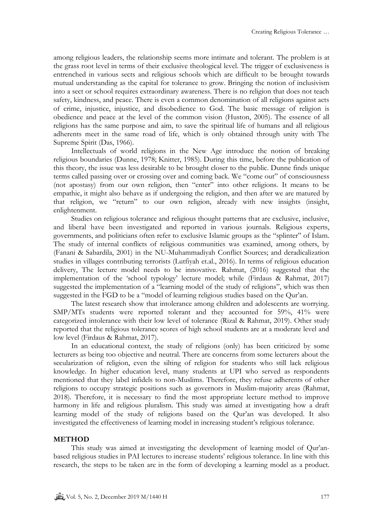among religious leaders, the relationship seems more intimate and tolerant. The problem is at the grass root level in terms of their exclusive theological level. The trigger of exclusiveness is entrenched in various sects and religious schools which are difficult to be brought towards mutual understanding as the capital for tolerance to grow. Bringing the notion of inclusivism into a sect or school requires extraordinary awareness. There is no religion that does not teach safety, kindness, and peace. There is even a common denomination of all religions against acts of crime, injustice, injustice, and disobedience to God. The basic message of religion is obedience and peace at the level of the common vision (Huston, 2005). The essence of all religions has the same purpose and aim, to save the spiritual life of humans and all religious adherents meet in the same road of life, which is only obtained through unity with The Supreme Spirit (Das, 1966).

Intellectuals of world religions in the New Age introduce the notion of breaking religious boundaries (Dunne, 1978; Knitter, 1985). During this time, before the publication of this theory, the issue was less desirable to be brought closer to the public. Dunne finds unique terms called passing over or crossing over and coming back. We "come out" of consciousness (not apostasy) from our own religion, then "enter" into other religions. It means to be empathic, it might also behave as if undergoing the religion, and then after we are matured by that religion, we "return" to our own religion, already with new insights (insight, enlightenment.

Studies on religious tolerance and religious thought patterns that are exclusive, inclusive, and liberal have been investigated and reported in various journals. Religious experts, governments, and politicians often refer to exclusive Islamic groups as the "splinter" of Islam. The study of internal conflicts of religious communities was examined, among others, by (Fanani & Sabardila, 2001) in the NU-Muhammadiyah Conflict Sources; and deradicalization studies in villages contributing terrorists (Lutfiyah et.al., 2016). In terms of religious education delivery, The lecture model needs to be innovative. Rahmat, (2016) suggested that the implementation of the 'school typology' lecture model; while (Firdaus & Rahmat, 2017) suggested the implementation of a "learning model of the study of religions", which was then suggested in the FGD to be a "model of learning religious studies based on the Qur'an.

The latest research show that intolerance among children and adolescents are worrying. SMP/MTs students were reported tolerant and they accounted for 59%, 41% were categorized intolerance with their low level of tolerance (Rizal & Rahmat, 2019). Other study reported that the religious tolerance scores of high school students are at a moderate level and low level (Firdaus & Rahmat, 2017).

In an educational context, the study of religions (only) has been criticized by some lecturers as being too objective and neutral. There are concerns from some lecturers about the secularization of religion, even the silting of religion for students who still lack religious knowledge. In higher education level, many students at UPI who served as respondents mentioned that they label infidels to non-Muslims. Therefore, they refuse adherents of other religions to occupy strategic positions such as governors in Muslim-majority areas (Rahmat, 2018). Therefore, it is necessary to find the most appropriate lecture method to improve harmony in life and religious pluralism. This study was aimed at investigating how a draft learning model of the study of religions based on the Qur'an was developed. It also investigated the effectiveness of learning model in increasing student's religious tolerance.

## **METHOD**

This study was aimed at investigating the development of learning model of Qur'anbased religious studies in PAI lectures to increase students' religious tolerance. In line with this research, the steps to be taken are in the form of developing a learning model as a product.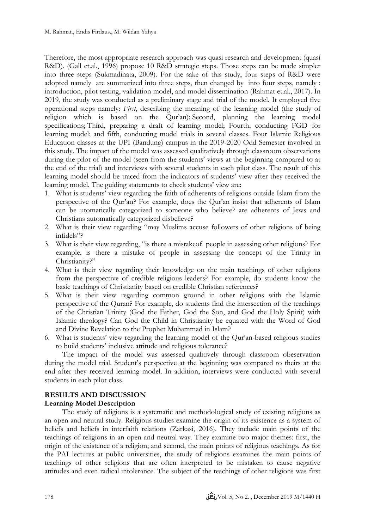Therefore, the most appropriate research approach was quasi research and development (quasi R&D). (Gall et.al., 1996) propose 10 R&D strategic steps. Those steps can be made simpler into three steps (Sukmadinata, 2009). For the sake of this study, four steps of R&D were adopted namely are summarized into three steps, then changed by into four steps, namely : introduction, pilot testing, validation model, and model dissemination (Rahmat et.al., 2017). In 2019, the study was conducted as a preliminary stage and trial of the model. It employed five operational steps namely: *First*, describing the meaning of the learning model (the study of religion which is based on the Qur'an); Second, planning the learning model specifications; Third, preparing a draft of learning model; Fourth, conducting FGD for learning model; and fifth, conducting model trials in several classes. Four Islamic Religious Education classes at the UPI (Bandung) campus in the 2019-2020 Odd Semester involved in this study. The impact of the model was assessed qualitatively through classroom observations during the pilot of the model (seen from the students' views at the beginning compared to at the end of the trial) and interviews with several students in each pilot class. The result of this learning model should be traced from the indicators of students' view after they received the learning model. The guiding statements to check students' view are:

- 1. What is students' view regarding the faith of adherents of religions outside Islam from the perspective of the Qur'an? For example, does the Qur'an insist that adherents of Islam can be utomatically categorized to someone who believe? are adherents of Jews and Christians automatically categorized disbelieve?
- 2. What is their view regarding "may Muslims accuse followers of other religions of being infidels"?
- 3. What is their view regarding, "is there a mistakeof people in assessing other religions? For example, is there a mistake of people in assessing the concept of the Trinity in Christianity?"
- 4. What is their view regarding their knowledge on the main teachings of other religions from the perspective of credible religious leaders? For example, do students know the basic teachings of Christianity based on credible Christian references?
- 5. What is their view regarding common ground in other religions with the Islamic perspective of the Quran? For example, do students find the intersection of the teachings of the Christian Trinity (God the Father, God the Son, and God the Holy Spirit) with Islamic theology? Can God the Child in Christianity be equated with the Word of God and Divine Revelation to the Prophet Muhammad in Islam?
- 6. What is students' view regarding the learning model of the Qur'an-based religious studies to build students' inclusive attitude and religious tolerance?

The impact of the model was assessed qualitively through classroom obeservation during the model trial. Student's perspective at the beginning was compared to theirs at the end after they received learning model. In addition, interviews were conducted with several students in each pilot class.

# **RESULTS AND DISCUSSION**

# **Learning Model Description**

The study of religions is a systematic and methodological study of existing religions as an open and neutral study. Religious studies examine the origin of its existence as a system of beliefs and beliefs in interfaith relations (Zarkasi, 2016). They include main points of the teachings of religions in an open and neutral way. They examine two major themes: first, the origin of the existence of a religion; and second, the main points of religious teachings. As for the PAI lectures at public universities, the study of religions examines the main points of teachings of other religions that are often interpreted to be mistaken to cause negative attitudes and even radical intolerance. The subject of the teachings of other religions was first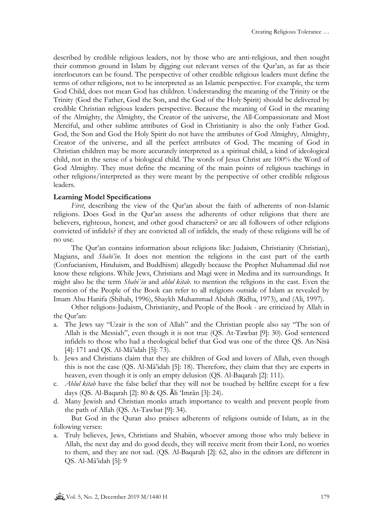described by credible religious leaders, not by those who are anti-religious, and then sought their common ground in Islam by digging out relevant verses of the Qur'an, as far as their interlocutors can be found. The perspective of other credible religious leaders must define the terms of other religions, not to be interpreted as an Islamic perspective. For example, the term God Child, does not mean God has children. Understanding the meaning of the Trinity or the Trinity (God the Father, God the Son, and the God of the Holy Spirit) should be delivered by credible Christian religious leaders perspective. Because the meaning of God in the meaning of the Almighty, the Almighty, the Creator of the universe, the All-Compassionate and Most Merciful, and other sublime attributes of God in Christianity is also the only Father God. God, the Son and God the Holy Spirit do not have the attributes of God Almighty, Almighty, Creator of the universe, and all the perfect attributes of God. The meaning of God in Christian children may be more accurately interpreted as a spiritual child, a kind of ideological child, not in the sense of a biological child. The words of Jesus Christ are 100% the Word of God Almighty. They must define the meaning of the main points of religious teachings in other religions/interpreted as they were meant by the perspective of other credible religious leaders.

## **Learning Model Specifications**

*First*, describing the view of the Qur'an about the faith of adherents of non-Islamic religions. Does God in the Qur'an assess the adherents of other religions that there are believers, righteous, honest, and other good characters? or are all followers of other religions convicted of infidels? if they are convicted all of infidels, the study of these religions will be of no use.

The Qur'an contains information about religions like: Judaism, Christianity (Christian), Magians, and *Shabi'in*. It does not mention the religions in the east part of the earth (Confucianism, Hinduism, and Buddhism) allegedly because the Prophet Muhammad did not know these religions. While Jews, Christians and Magi were in Medina and its surroundings. It might also be the term *Shabi`in* and *ahlul kitab.* to mention the religions in the east. Even the mention of the People of the Book can refer to all religions outside of Islam as revealed by Imam Abu Hanifa (Shihab, 1996), Shaykh Muhammad Abduh (Ridha, 1973), and (Ali, 1997).

Other religions-Judaism, Christianity, and People of the Book - are criticized by Allah in the Qur'an:

- a. The Jews say "Uzair is the son of Allah" and the Christian people also say "The son of Allah is the Messiah", even though it is not true (QS. At-Tawbat [9]: 30). God sentenced infidels to those who had a theological belief that God was one of the three QS. An-Nisā [4]: 171 and QS. Al-Mā'idah [5]: 73).
- b. Jews and Christians claim that they are children of God and lovers of Allah, even though this is not the case (QS. Al-Mā'idah [5]: 18). Therefore, they claim that they are experts in heaven, even though it is only an empty delusion (QS. Al-Baqarah [2]: 111).
- c. *Ahlul kitab* have the false belief that they will not be touched by hellfire except for a few days (QS. Al-Baqarah [2]: 80 & QS. Āli 'Imrān [3]: 24).
- d. Many Jewish and Christian monks attach importance to wealth and prevent people from the path of Allah (QS. At-Tawbat [9]: 34).

But God in the Quran also praises adherents of religions outside of Islam, as in the following verses:

a. Truly believes, Jews, Christians and Shabiin, whoever among those who truly believe in Allah, the next day and do good deeds, they will receive merit from their Lord, no worries to them, and they are not sad. (QS. Al-Baqarah [2]: 62, also in the editors are different in QS. Al-Mā'idah [5]: 9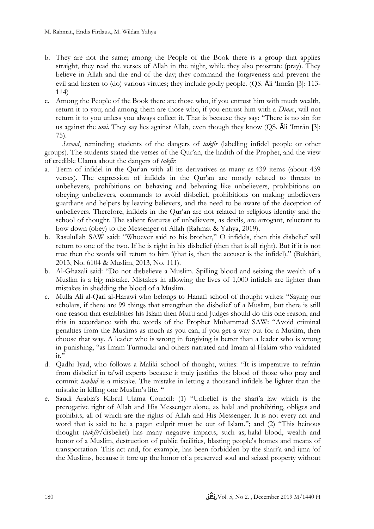- b. They are not the same; among the People of the Book there is a group that applies straight, they read the verses of Allah in the night, while they also prostrate (pray). They believe in Allah and the end of the day; they command the forgiveness and prevent the evil and hasten to  $(do)$  various virtues; they include godly people.  $(QS. \overline{A}I$  'Imrān [3]: 113-114)
- c. Among the People of the Book there are those who, if you entrust him with much wealth, return it to you; and among them are those who, if you entrust him with a *Dina*r, will not return it to you unless you always collect it. That is because they say: "There is no sin for us against the *umi*. They say lies against Allah, even though they know (QS.  $\bar{A}$ li 'Imrān [3]: 75).

*Second*, reminding students of the dangers of *takfir* (labelling infidel people or other groups). The students stated the verses of the Qur'an, the hadith of the Prophet, and the view of credible Ulama about the dangers of *takfir*:

- a. Term of infidel in the Qur'an with all its derivatives as many as 439 items (about 439 verses). The expression of infidels in the Qur'an are mostly related to threats to unbelievers, prohibitions on behaving and behaving like unbelievers, prohibitions on obeying unbelievers, commands to avoid disbelief, prohibitions on making unbelievers guardians and helpers by leaving believers, and the need to be aware of the deception of unbelievers. Therefore, infidels in the Qur'an are not related to religious identity and the school of thought. The salient features of unbelievers, as devils, are arrogant, reluctant to bow down (obey) to the Messenger of Allah (Rahmat & Yahya, 2019).
- b. Rasulullah SAW said: "Whoever said to his brother," O infidels, then this disbelief will return to one of the two. If he is right in his disbelief (then that is all right). But if it is not true then the words will return to him '(that is, then the accuser is the infidel)." (Bukhāri, 2013, No. 6104 & Muslim, 2013, No. 111).
- b. Al-Ghazali said: "Do not disbelieve a Muslim. Spilling blood and seizing the wealth of a Muslim is a big mistake. Mistakes in allowing the lives of 1,000 infidels are lighter than mistakes in shedding the blood of a Muslim.
- c. Mulla Ali al-Qari al-Harawi who belongs to Hanafi school of thought writes: "Saying our scholars, if there are 99 things that strengthen the disbelief of a Muslim, but there is still one reason that establishes his Islam then Mufti and Judges should do this one reason, and this in accordance with the words of the Prophet Muhammad SAW: "Avoid criminal penalties from the Muslims as much as you can, if you get a way out for a Muslim, then choose that way. A leader who is wrong in forgiving is better than a leader who is wrong in punishing, "as Imam Turmudzi and others narrated and Imam al-Hakim who validated  $it$ ."
- d. Qadhi Iyad, who follows a Maliki school of thought, writes: "It is imperative to refrain from disbelief in ta'wil experts because it truly justifies the blood of those who pray and commit *tawhid* is a mistake. The mistake in letting a thousand infidels be lighter than the mistake in killing one Muslim's life. "
- e. Saudi Arabia's Kibrul Ulama Council: (1) "Unbelief is the shari'a law which is the prerogative right of Allah and His Messenger alone, as halal and prohibiting, obliges and prohibits, all of which are the rights of Allah and His Messenger. It is not every act and word that is said to be a pagan culprit must be out of Islam."; and (2) "This heinous thought (*takfīr*/disbelief) has many negative impacts, such as; halal blood, wealth and honor of a Muslim, destruction of public facilities, blasting people's homes and means of transportation. This act and, for example, has been forbidden by the shari'a and ijma 'of the Muslims, because it tore up the honor of a preserved soul and seized property without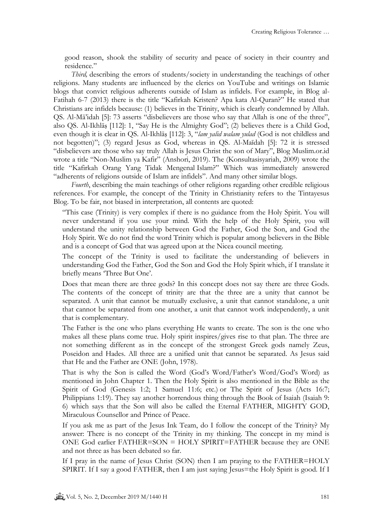good reason, shook the stability of security and peace of society in their country and residence."

*Third*, describing the errors of students/society in understanding the teachings of other religions. Many students are influenced by the clerics on YouTube and writings on Islamic blogs that convict religious adherents outside of Islam as infidels. For example, in Blog al-Fatihah 6-7 (2013) there is the title "Kafirkah Kristen? Apa kata Al-Quran?" He stated that Christians are infidels because: (1) believes in the Trinity, which is clearly condemned by Allah. QS. Al-Mā'idah [5]: 73 asserts "disbelievers are those who say that Allah is one of the three", also QS. Al-Ikhlāṣ [112]: 1, "Say He is the Almighty God"; (2) believes there is a Child God, even though it is clear in QS. Al-Ikhlāṣ [112]: 3, "*lam yalid walam yulad* (God is not childless and not begotten)"; (3) regard Jesus as God, whereas in QS. Al-Maīdah [5]: 72 it is stressed "disbelievers are those who say truly Allah is Jesus Christ the son of Mary", Blog Muslim.or.id wrote a title "Non-Muslim ya Kafir" (Anshori, 2019). The (Konsultasisyariah, 2009) wrote the title "Kafirkah Orang Yang Tidak Mengenal Islam?" Which was immediately answered "adherents of religions outside of Islam are infidels". And many other similar blogs.

*Fourth*, describing the main teachings of other religions regarding other credible religious references. For example, the concept of the Trinity in Christianity refers to the Tintayesus Blog. To be fair, not biased in interpretation, all contents are quoted:

"This case (Trinity) is very complex if there is no guidance from the Holy Spirit. You will never understand if you use your mind. With the help of the Holy Spirit, you will understand the unity relationship between God the Father, God the Son, and God the Holy Spirit. We do not find the word Trinity which is popular among believers in the Bible and is a concept of God that was agreed upon at the Nicea council meeting.

The concept of the Trinity is used to facilitate the understanding of believers in understanding God the Father, God the Son and God the Holy Spirit which, if I translate it briefly means 'Three But One'.

Does that mean there are three gods? In this concept does not say there are three Gods. The contents of the concept of trinity are that the three are a unity that cannot be separated. A unit that cannot be mutually exclusive, a unit that cannot standalone, a unit that cannot be separated from one another, a unit that cannot work independently, a unit that is complementary.

The Father is the one who plans everything He wants to create. The son is the one who makes all these plans come true. Holy spirit inspires/gives rise to that plan. The three are not something different as in the concept of the strongest Greek gods namely Zeus, Poseidon and Hades. All three are a unified unit that cannot be separated. As Jesus said that He and the Father are ONE (John, 1978).

That is why the Son is called the Word (God's Word/Father's Word/God's Word) as mentioned in John Chapter 1. Then the Holy Spirit is also mentioned in the Bible as the Spirit of God (Genesis 1:2; 1 Samuel 11:6; etc.) or The Spirit of Jesus (Acts 16:7; Philippians 1:19). They say another horrendous thing through the Book of Isaiah (Isaiah 9: 6) which says that the Son will also be called the Eternal FATHER, MIGHTY GOD, Miraculous Counsellor and Prince of Peace.

If you ask me as part of the Jesus Ink Team, do I follow the concept of the Trinity? My answer: There is no concept of the Trinity in my thinking. The concept in my mind is ONE God earlier FATHER=SON = HOLY SPIRIT=FATHER because they are ONE and not three as has been debated so far.

If I pray in the name of Jesus Christ (SON) then I am praying to the FATHER=HOLY SPIRIT. If I say a good FATHER, then I am just saying Jesus=the Holy Spirit is good. If I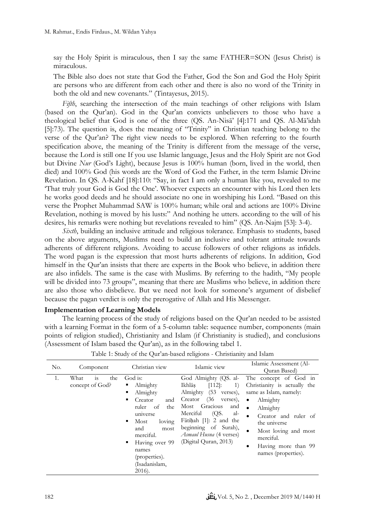say the Holy Spirit is miraculous, then I say the same FATHER=SON (Jesus Christ) is miraculous.

The Bible also does not state that God the Father, God the Son and God the Holy Spirit are persons who are different from each other and there is also no word of the Trinity in both the old and new covenants." (Tintayesus, 2015).

*Fifth*, searching the intersection of the main teachings of other religions with Islam (based on the Qur'an). God in the Qur'an convicts unbelievers to those who have a theological belief that God is one of the three (QS. An-Nisā' [4]:171 and QS. Al-Mā'idah [5]:73). The question is, does the meaning of "Trinity" in Christian teaching belong to the verse of the Qur'an? The right view needs to be explored. When referring to the fourth specification above, the meaning of the Trinity is different from the message of the verse, because the Lord is still one If you use Islamic language, Jesus and the Holy Spirit are not God but Divine *Nur* (God's Light), because Jesus is 100% human (born, lived in the world, then died) and 100% God (his words are the Word of God the Father, in the term Islamic Divine Revelation. In QS. A-Kahf [18]:110: "Say, in fact I am only a human like you, revealed to me 'That truly your God is God the One'. Whoever expects an encounter with his Lord then lets he works good deeds and he should associate no one in worshiping his Lord. "Based on this verse the Prophet Muhammad SAW is 100% human; while oral and actions are 100% Divine Revelation, nothing is moved by his lusts:" And nothing he utters. according to the will of his desires, his remarks were nothing but revelations revealed to him" (QS. An-Najm [53]: 3-4).

*Sixth*, building an inclusive attitude and religious tolerance. Emphasis to students, based on the above arguments, Muslims need to build an inclusive and tolerant attitude towards adherents of different religions. Avoiding to accuse followers of other religions as infidels. The word pagan is the expression that most hurts adherents of religions. In addition, God himself in the Qur'an insists that there are experts in the Book who believe, in addition there are also infidels. The same is the case with Muslims. By referring to the hadith, "My people will be divided into 73 groups", meaning that there are Muslims who believe, in addition there are also those who disbelieve. But we need not look for someone's argument of disbelief because the pagan verdict is only the prerogative of Allah and His Messenger.

#### **Implementation of Learning Models**

The learning process of the study of religions based on the Qur'an needed to be assisted with a learning Format in the form of a 5-column table: sequence number, components (main points of religion studied), Christianity and Islam (if Christianity is studied), and conclusions (Assessment of Islam based the Qur'an), as in the following tabel 1.

| No. | Component                            | Christian view                                                                                                                                                                                                             | Islamic view                                                                                                                                                                                                                                                                     | Islamic Assessment (Al-<br>Quran Based)                                                                                                                                                                                                                                        |
|-----|--------------------------------------|----------------------------------------------------------------------------------------------------------------------------------------------------------------------------------------------------------------------------|----------------------------------------------------------------------------------------------------------------------------------------------------------------------------------------------------------------------------------------------------------------------------------|--------------------------------------------------------------------------------------------------------------------------------------------------------------------------------------------------------------------------------------------------------------------------------|
| 1.  | is<br>What<br>the<br>concept of God? | God is:<br>Almighty<br>Almighty<br>٠<br>Creator<br>and<br>ruler<br>the<br>of<br>universe<br>loving<br>Most<br>٠<br>and<br>most<br>merciful.<br>Having over 99<br>٠<br>names<br>(properties).<br>(Isadanislam,<br>$2016$ ). | God Almighty (QS. al-<br>Ikhlās<br>$[112]$ :<br>1)<br>Almighty<br>(53)<br>verses),<br>(36)<br>Creator<br>verses),<br>Gracious<br>Most<br>and<br>al-<br>(QS.<br>Merciful<br>Fātiḥah $[1]$ : 2 and the<br>beginning of Surah),<br>Asmaul Husna (4 verses)<br>(Digital Quran, 2013) | The concept of God in<br>Christianity is actually the<br>same as Islam, namely:<br>Almighty<br>$\bullet$<br>$\bullet$<br>Almighty<br>Creator and ruler of<br>$\bullet$<br>the universe<br>Most loving and most<br>merciful.<br>Having more than 99<br>٠<br>names (properties). |

Table 1: Study of the Qur'an-based religions - Christianity and Islam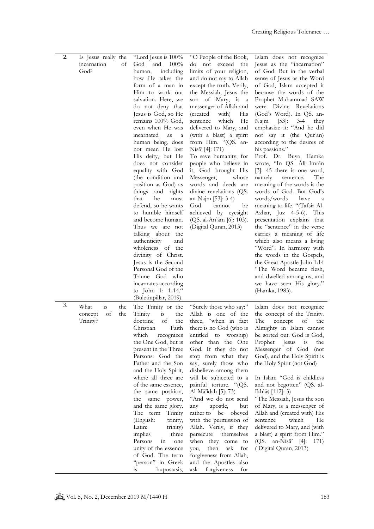| 2. | Is Jesus really the<br>incarnation<br>God? | "Lord Jesus is 100%<br>and<br>оf<br>God<br>100%<br>including<br>human,<br>how He takes the<br>form of a man in<br>Him to work out<br>salvation. Here, we<br>do not deny that<br>Jesus is God, so He<br>remains 100% God,<br>even when He was<br>incarnated<br>as<br>a<br>human being, does<br>not mean He lost<br>His deity, but He<br>does not consider<br>equality with God<br>(the condition and<br>position as God) as<br>things and<br>rights<br>that<br>he<br>must<br>defend, so he wants<br>to humble himself<br>and become human.<br>Thus we are not<br>talking about<br>the<br>authenticity<br>and<br>wholeness of the<br>divinity of Christ.<br>Jesus is the Second<br>Personal God of the<br>Triune God who<br>incarnates according<br>to John 1: 1-14." | "O People of the Book,<br>do not exceed<br>the<br>limits of your religion,<br>and do not say to Allah<br>except the truth. Verily,<br>the Messiah, Jesus the<br>son of Mary, is a<br>messenger of Allah and<br>(created)<br>with)<br>His<br>which<br>sentence<br>He<br>delivered to Mary, and<br>(with a blast) a spirit<br>from Him. "(QS. an-<br>Nisā' [4]: 171)<br>To save humanity, for<br>people who believe in<br>it, God brought His<br>Messenger,<br>whose<br>words and deeds are<br>divine revelations (QS.<br>an-Najm [53]: 3-4)<br>God<br>cannot<br>be<br>achieved by eyesight<br>(QS. al-An'ām [6]: 103).<br>(Digital Quran, 2013) | Islam does not recognize<br>Jesus as the "incarnation"<br>of God. But in the verbal<br>sense of Jesus as the Word<br>of God, Islam accepted it<br>because the words of the<br>Prophet Muhammad SAW<br>were Divine Revelations<br>(God's Word). In QS. an-<br>$[53]$ : 3-4<br>Najm<br>they<br>emphasize it: "And he did<br>not say it (the Qur'an)<br>according to the desires of<br>his passions."<br>Prof. Dr. Buya Hamka<br>wrote, "In QS. Ali Imrān<br>$[3]$ : 45 there is one word,<br>namely<br>The<br>sentence.<br>meaning of the words is the<br>words of God. But God's<br>words/words<br>have<br>a<br>meaning to life. "(Tafsir Al-<br>Azhar, Juz 4-5-6). This<br>presentation explains that<br>the "sentence" in the verse<br>carries a meaning of life<br>which also means a living<br>"Word". In harmony with<br>the words in the Gospels,<br>the Great Apostle John 1:14<br>"The Word became flesh,<br>and dwelled among us, and<br>we have seen His glory."<br>(Hamka, 1983). |
|----|--------------------------------------------|---------------------------------------------------------------------------------------------------------------------------------------------------------------------------------------------------------------------------------------------------------------------------------------------------------------------------------------------------------------------------------------------------------------------------------------------------------------------------------------------------------------------------------------------------------------------------------------------------------------------------------------------------------------------------------------------------------------------------------------------------------------------|------------------------------------------------------------------------------------------------------------------------------------------------------------------------------------------------------------------------------------------------------------------------------------------------------------------------------------------------------------------------------------------------------------------------------------------------------------------------------------------------------------------------------------------------------------------------------------------------------------------------------------------------|---------------------------------------------------------------------------------------------------------------------------------------------------------------------------------------------------------------------------------------------------------------------------------------------------------------------------------------------------------------------------------------------------------------------------------------------------------------------------------------------------------------------------------------------------------------------------------------------------------------------------------------------------------------------------------------------------------------------------------------------------------------------------------------------------------------------------------------------------------------------------------------------------------------------------------------------------------------------------------------------|
| 3. | What<br>is<br>of<br>concept<br>Trinity?    | (Buletinpillar, 2019).<br>The Trinity or the<br>the<br>Trinity<br>the<br>the<br>is<br>of<br>the<br>doctrine<br>Faith<br>Christian<br>which<br>recognizes<br>the One God, but is<br>present in the Three<br>Persons: God the<br>Father and the Son<br>and the Holy Spirit,<br>where all three are<br>of the same essence,<br>the same position,<br>the same power,<br>and the same glory.<br>The term<br>Trinity<br>(English:<br>trinity,<br>Latin:<br>trinity)<br>implies<br>three<br>Persons<br>in<br>one<br>unity of the essence<br>of God. The term<br>"person" in Greek<br>hupostasis,<br>$1S$                                                                                                                                                                  | "Surely those who say:"<br>Allah is one of the<br>three, "when in fact<br>there is no God (who is<br>entitled to worship)<br>other than the One<br>God. If they do not<br>stop from what they<br>say, surely those who<br>disbelieve among them<br>will be subjected to a<br>painful torture. "(QS.<br>Al-Mā'idah [5]: 73)<br>"And we do not send<br>apostle,<br>but<br>any<br>rather to be obeyed<br>with the permission of<br>Allah. Verily, if they<br>themselves<br>persecute<br>when they come to<br>you,<br>then<br>ask<br>for<br>forgiveness from Allah,<br>and the Apostles also<br>ask<br>forgiveness<br>for                          | Islam does not recognize<br>the concept of the Trinity.<br>The<br>concept<br>of<br>the<br>Almighty in Islam cannot<br>be sorted out. God is God,<br>Prophet Jesus<br>is<br>the<br>Messenger of God<br>(not)<br>God), and the Holy Spirit is<br>the Holy Spirit (not God)<br>In Islam "God is childless<br>and not begotten" (QS. al-<br>Ikhlāṣ [112]: 3)<br>"The Messiah, Jesus the son<br>of Mary, is a messenger of<br>Allah and (created with) His<br>sentence<br>which<br>He<br>delivered to Mary, and (with<br>a blast) a spirit from Him."<br>(QS. an-Nisa <sup>3</sup> [4]: 171)<br>(Digital Quran, 2013)                                                                                                                                                                                                                                                                                                                                                                            |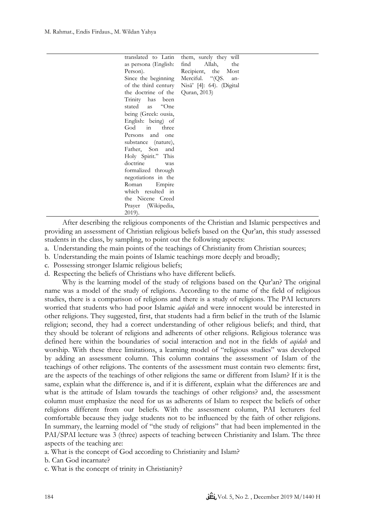| translated to Latin  | them, surely they will   |
|----------------------|--------------------------|
| as persona (English: | find Allah, the          |
| Person).             | Recipient, the Most      |
| Since the beginning  | Merciful. "(QS. an-      |
| of the third century | Nisā' [4]: 64). (Digital |
| the doctrine of the  | Quran, 2013)             |
| Trinity has been     |                          |
| stated as "One       |                          |
| being (Greek: ousia, |                          |
| English: being) of   |                          |
| God in three         |                          |
| Persons and one      |                          |
| substance (nature),  |                          |
| Father, Son and      |                          |
| Holy Spirit." This   |                          |
| doctrine was         |                          |
| formalized through   |                          |
| negotiations in the  |                          |
| Roman Empire         |                          |
| which resulted in    |                          |
| the Nicene Creed     |                          |
| Prayer (Wikipedia,   |                          |
| 2019).               |                          |

After describing the religious components of the Christian and Islamic perspectives and providing an assessment of Christian religious beliefs based on the Qur'an, this study assessed students in the class, by sampling, to point out the following aspects:

- a. Understanding the main points of the teachings of Christianity from Christian sources;
- b. Understanding the main points of Islamic teachings more deeply and broadly;
- c. Possessing stronger Islamic religious beliefs;
- d. Respecting the beliefs of Christians who have different beliefs.

Why is the learning model of the study of religions based on the Qur'an? The original name was a model of the study of religions. According to the name of the field of religious studies, there is a comparison of religions and there is a study of religions. The PAI lecturers worried that students who had poor Islamic *aqidah* and were innocent would be interested in other religions. They suggested, first, that students had a firm belief in the truth of the Islamic religion; second, they had a correct understanding of other religious beliefs; and third, that they should be tolerant of religions and adherents of other religions. Religious tolerance was defined here within the boundaries of social interaction and not in the fields of *aqidah* and worship. With these three limitations, a learning model of "religious studies" was developed by adding an assessment column. This column contains the assessment of Islam of the teachings of other religions. The contents of the assessment must contain two elements: first, are the aspects of the teachings of other religions the same or different from Islam? If it is the same, explain what the difference is, and if it is different, explain what the differences are and what is the attitude of Islam towards the teachings of other religions? and, the assessment column must emphasize the need for us as adherents of Islam to respect the beliefs of other religions different from our beliefs. With the assessment column, PAI lecturers feel comfortable because they judge students not to be influenced by the faith of other religions. In summary, the learning model of "the study of religions" that had been implemented in the PAI/SPAI lecture was 3 (three) aspects of teaching between Christianity and Islam. The three aspects of the teaching are:

a. What is the concept of God according to Christianity and Islam?

b. Can God incarnate?

c. What is the concept of trinity in Christianity?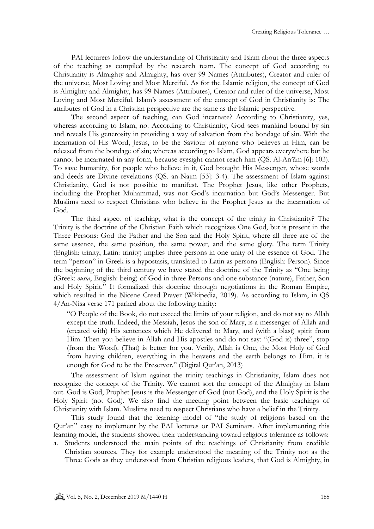PAI lecturers follow the understanding of Christianity and Islam about the three aspects of the teaching as compiled by the research team. The concept of God according to Christianity is Almighty and Almighty, has over 99 Names (Attributes), Creator and ruler of the universe, Most Loving and Most Merciful. As for the Islamic religion, the concept of God is Almighty and Almighty, has 99 Names (Attributes), Creator and ruler of the universe, Most Loving and Most Merciful. Islam's assessment of the concept of God in Christianity is: The attributes of God in a Christian perspective are the same as the Islamic perspective.

The second aspect of teaching, can God incarnate? According to Christianity, yes, whereas according to Islam, no. According to Christianity, God sees mankind bound by sin and reveals His generosity in providing a way of salvation from the bondage of sin. With the incarnation of His Word, Jesus, to be the Saviour of anyone who believes in Him, can be released from the bondage of sin; whereas according to Islam, God appears everywhere but he cannot be incarnated in any form, because eyesight cannot reach him (QS. Al-An'ām [6]: 103). To save humanity, for people who believe in it, God brought His Messenger, whose words and deeds are Divine revelations (QS. an-Najm [53]: 3-4). The assessment of Islam against Christianity, God is not possible to manifest. The Prophet Jesus, like other Prophets, including the Prophet Muhammad, was not God's incarnation but God's Messenger. But Muslims need to respect Christians who believe in the Prophet Jesus as the incarnation of God.

The third aspect of teaching, what is the concept of the trinity in Christianity? The Trinity is the doctrine of the Christian Faith which recognizes One God, but is present in the Three Persons: God the Father and the Son and the Holy Spirit, where all three are of the same essence, the same position, the same power, and the same glory. The term Trinity (English: trinity, Latin: trinity) implies three persons in one unity of the essence of God. The term "person" in Greek is a hypostasis, translated to Latin as persona (English: Person). Since the beginning of the third century we have stated the doctrine of the Trinity as "One being (Greek: *ousia*, English: being) of God in three Persons and one substance (nature), Father, Son and Holy Spirit." It formalized this doctrine through negotiations in the Roman Empire, which resulted in the Nicene Creed Prayer (Wikipedia, 2019). As according to Islam, in QS 4/An-Nisa verse 171 parked about the following trinity:

"O People of the Book, do not exceed the limits of your religion, and do not say to Allah except the truth. Indeed, the Messiah, Jesus the son of Mary, is a messenger of Allah and (created with) His sentences which He delivered to Mary, and (with a blast) spirit from Him. Then you believe in Allah and His apostles and do not say: "(God is) three", stop (from the Word). (That) is better for you. Verily, Allah is One, the Most Holy of God from having children, everything in the heavens and the earth belongs to Him. it is enough for God to be the Preserver." (Digital Qur'an, 2013)

The assessment of Islam against the trinity teachings in Christianity, Islam does not recognize the concept of the Trinity. We cannot sort the concept of the Almighty in Islam out. God is God, Prophet Jesus is the Messenger of God (not God), and the Holy Spirit is the Holy Spirit (not God). We also find the meeting point between the basic teachings of Christianity with Islam. Muslims need to respect Christians who have a belief in the Trinity.

This study found that the learning model of "the study of religions based on the Qur'an" easy to implement by the PAI lectures or PAI Seminars. After implementing this learning model, the students showed their understanding toward religious tolerance as follows:

a. Students understood the main points of the teachings of Christianity from credible Christian sources. They for example understood the meaning of the Trinity not as the Three Gods as they understood from Christian religious leaders, that God is Almighty, in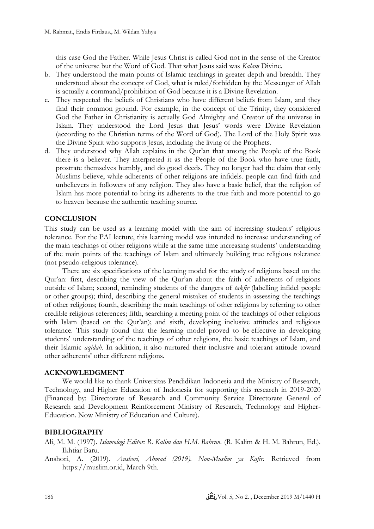this case God the Father. While Jesus Christ is called God not in the sense of the Creator of the universe but the Word of God. That what Jesus said was *Kalam* Divine.

- b. They understood the main points of Islamic teachings in greater depth and breadth. They understood about the concept of God, what is ruled/forbidden by the Messenger of Allah is actually a command/prohibition of God because it is a Divine Revelation.
- c. They respected the beliefs of Christians who have different beliefs from Islam, and they find their common ground. For example, in the concept of the Trinity, they considered God the Father in Christianity is actually God Almighty and Creator of the universe in Islam. They understood the Lord Jesus that Jesus' words were Divine Revelation (according to the Christian terms of the Word of God). The Lord of the Holy Spirit was the Divine Spirit who supports Jesus, including the living of the Prophets.
- d. They understood why Allah explains in the Qur'an that among the People of the Book there is a believer. They interpreted it as the People of the Book who have true faith, prostrate themselves humbly, and do good deeds. They no longer had the claim that only Muslims believe, while adherents of other religions are infidels. people can find faith and unbelievers in followers of any religion. They also have a basic belief, that the religion of Islam has more potential to bring its adherents to the true faith and more potential to go to heaven because the authentic teaching source.

# **CONCLUSION**

This study can be used as a learning model with the aim of increasing students' religious tolerance. For the PAI lecture, this learning model was intended to increase understanding of the main teachings of other religions while at the same time increasing students' understanding of the main points of the teachings of Islam and ultimately building true religious tolerance (not pseudo-religious tolerance).

There are six specifications of the learning model for the study of religions based on the Qur'an: first, describing the view of the Qur'an about the faith of adherents of religions outside of Islam; second, reminding students of the dangers of *takfir* (labelling infidel people or other groups); third, describing the general mistakes of students in assessing the teachings of other religions; fourth, describing the main teachings of other religions by referring to other credible religious references; fifth, searching a meeting point of the teachings of other religions with Islam (based on the Qur'an); and sixth, developing inclusive attitudes and religious tolerance. This study found that the learning model proved to be effective in developing students' understanding of the teachings of other religions, the basic teachings of Islam, and their Islamic *aqidah*. In addition, it also nurtured their inclusive and tolerant attitude toward other adherents' other different religions.

## **ACKNOWLEDGMENT**

We would like to thank Universitas Pendidikan Indonesia and the Ministry of Research, Technology, and Higher Education of Indonesia for supporting this research in 2019-2020 (Financed by: Directorate of Research and Community Service Directorate General of Research and Development Reinforcement Ministry of Research, Technology and Higher-Education. Now Ministry of Education and Culture).

## **BIBLIOGRAPHY**

- Ali, M. M. (1997). *Islamologi Editor: R. Kalim dan H.M. Bahrun.* (R. Kalim & H. M. Bahrun, Ed.). Ikhtiar Baru.
- Anshori, A. (2019). *Anshori, Ahmad (2019). Non-Muslim ya Kafir.* Retrieved from https://muslim.or.id, March 9th.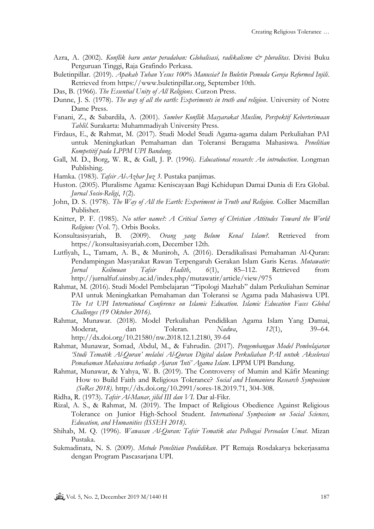- Azra, A. (2002). *Konflik baru antar peradaban: Globalisasi, radikalisme & pluralitas*. Divisi Buku Perguruan Tinggi, Raja Grafindo Perkasa.
- Buletinpillar. (2019). *Apakah Tuhan Yesus 100% Manusia? In Buletin Pemuda Gereja Reformed Injili*. Retrieved from https://www.buletinpillar.org, September 10th.
- Das, B. (1966). *The Essential Unity of All Religions*. Curzon Press.
- Dunne, J. S. (1978). *The way of all the earth: Experiments in truth and religion*. University of Notre Dame Press.
- Fanani, Z., & Sabardila, A. (2001). *Sumber Konflik Masyarakat Muslim, Perspektif Keberterimaan Tahlil*. Surakarta: Muhammadiyah University Press.
- Firdaus, E., & Rahmat, M. (2017). Studi Model Studi Agama-agama dalam Perkuliahan PAI untuk Meningkatkan Pemahaman dan Toleransi Beragama Mahasiswa. *Penelitian Kompetitif pada LPPM UPI Bandung*.
- Gall, M. D., Borg, W. R., & Gall, J. P. (1996). *Educational research: An introduction*. Longman Publishing.
- Hamka. (1983). *Tafsir Al-Azhar Juz 3*. Pustaka panjimas.
- Huston. (2005). Pluralisme Agama: Keniscayaan Bagi Kehidupan Damai Dunia di Era Global. *Jurnal Sosio-Religi*, *1*(2).
- John, D. S. (1978). *The Way of All the Earth: Experiment in Truth and Religion.* Collier Macmillan Publisher.
- Knitter, P. F. (1985). *No other name?: A Critical Survey of Christian Attitudes Toward the World Religions* (Vol. 7). Orbis Books.
- Konsultasisyariah, B. (2009). *Orang yang Belum Kenal Islam?.* Retrieved from https://konsultasisyariah.com, December 12th.
- Lutfiyah, L., Tamam, A. B., & Muniroh, A. (2016). Deradikalisasi Pemahaman Al-Quran: Pendampingan Masyarakat Rawan Terpengaruh Gerakan Islam Garis Keras. *Mutawatir: Jurnal Keilmuan Tafsir Hadith*, *6*(1), 85–112. Retrieved from <http://jurnalfuf.uinsby.ac.id/index.php/mutawatir/article/view/975>
- Rahmat, M. (2016). Studi Model Pembelajaran "Tipologi Mazhab" dalam Perkuliahan Seminar PAI untuk Meningkatkan Pemahaman dan Toleransi se Agama pada Mahasiswa UPI. *The 1st UPI International Conference on Islamic Education. Islamic Education Faces Global Challenges (19 Oktober 2016)*.
- Rahmat, Munawar. (2018). Model Perkuliahan Pendidikan Agama Islam Yang Damai, Moderat, dan Toleran. *Nadwa*, *12*(1), 39–64. http://dx.doi.org/10.21580/nw.2018.12.1.2180, 39-64
- Rahmat, Munawar, Somad, Abdul, M., & Fahrudin. (2017). *Pengembangan Model Pembelajaran 'Studi Tematik Al-Quran' melalui Al-Quran Digital dalam Perkuliahan PAI untuk Akselerasi Pemahaman Mahasiswa terhadap Ajaran 'Inti' Agama Islam*. LPPM UPI Bandung.
- Rahmat, Munawar, & Yahya, W. B. (2019). The Controversy of Mumin and Kāfir Meaning: How to Build Faith and Religious Tolerance? *Social and Humaniora Research Symposium (SoRes 2018)*. http://dx.doi.org/10.2991/sores-18.2019.71, 304-308.

Ridha, R. (1973). *Tafsir Al-Manar, jilid III dan VI*. Dar al-Fikr.

- Rizal, A. S., & Rahmat, M. (2019). The Impact of Religious Obedience Against Religious Tolerance on Junior High-School Student. *International Symposium on Social Sciences, Education, and Humanities (ISSEH 2018)*.
- Shihab, M. Q. (1996). *Wawasan Al-Quran: Tafsir Tematik atas Pelbagai Persoalan Umat*. Mizan Pustaka.
- Sukmadinata, N. S. (2009). *Metode Penelitian Pendidikan*. PT Remaja Rosdakarya bekerjasama dengan Program Pascasarjana UPI.